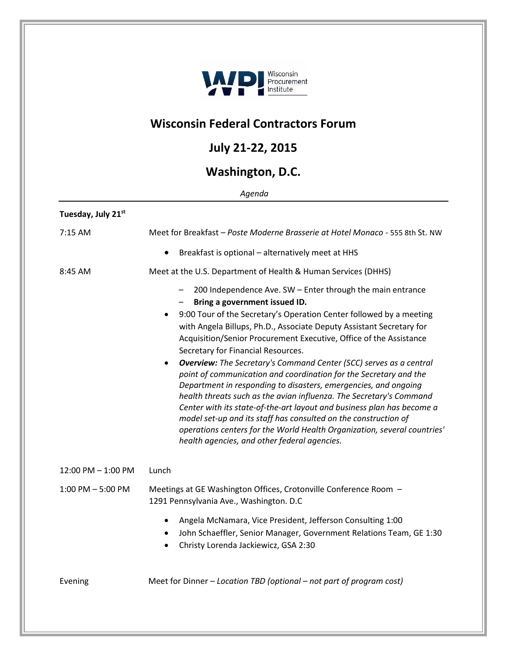

## **Wisconsin Federal Contractors Forum**

## **July 21-22, 2015**

## **Washington, D.C.**

*Agenda*

| Tuesday, July 21st   |                                                                                                                                                                                                                                                                                                                                                                                                                                                                                                                                                                                                                                                                                                                                                                                                                                                                                                                                                       |
|----------------------|-------------------------------------------------------------------------------------------------------------------------------------------------------------------------------------------------------------------------------------------------------------------------------------------------------------------------------------------------------------------------------------------------------------------------------------------------------------------------------------------------------------------------------------------------------------------------------------------------------------------------------------------------------------------------------------------------------------------------------------------------------------------------------------------------------------------------------------------------------------------------------------------------------------------------------------------------------|
| 7:15 AM              | Meet for Breakfast - Poste Moderne Brasserie at Hotel Monaco - 555 8th St. NW                                                                                                                                                                                                                                                                                                                                                                                                                                                                                                                                                                                                                                                                                                                                                                                                                                                                         |
|                      | Breakfast is optional - alternatively meet at HHS<br>$\bullet$                                                                                                                                                                                                                                                                                                                                                                                                                                                                                                                                                                                                                                                                                                                                                                                                                                                                                        |
| 8:45 AM              | Meet at the U.S. Department of Health & Human Services (DHHS)                                                                                                                                                                                                                                                                                                                                                                                                                                                                                                                                                                                                                                                                                                                                                                                                                                                                                         |
|                      | 200 Independence Ave. SW - Enter through the main entrance<br>Bring a government issued ID.<br>9:00 Tour of the Secretary's Operation Center followed by a meeting<br>$\bullet$<br>with Angela Billups, Ph.D., Associate Deputy Assistant Secretary for<br>Acquisition/Senior Procurement Executive, Office of the Assistance<br>Secretary for Financial Resources.<br><b>Overview:</b> The Secretary's Command Center (SCC) serves as a central<br>$\bullet$<br>point of communication and coordination for the Secretary and the<br>Department in responding to disasters, emergencies, and ongoing<br>health threats such as the avian influenza. The Secretary's Command<br>Center with its state-of-the-art layout and business plan has become a<br>model set-up and its staff has consulted on the construction of<br>operations centers for the World Health Organization, several countries'<br>health agencies, and other federal agencies. |
| 12:00 PM - 1:00 PM   | Lunch                                                                                                                                                                                                                                                                                                                                                                                                                                                                                                                                                                                                                                                                                                                                                                                                                                                                                                                                                 |
| $1:00$ PM $-5:00$ PM | Meetings at GE Washington Offices, Crotonville Conference Room -<br>1291 Pennsylvania Ave., Washington. D.C                                                                                                                                                                                                                                                                                                                                                                                                                                                                                                                                                                                                                                                                                                                                                                                                                                           |
|                      | Angela McNamara, Vice President, Jefferson Consulting 1:00<br>$\bullet$<br>John Schaeffler, Senior Manager, Government Relations Team, GE 1:30<br>$\bullet$<br>Christy Lorenda Jackiewicz, GSA 2:30<br>$\bullet$                                                                                                                                                                                                                                                                                                                                                                                                                                                                                                                                                                                                                                                                                                                                      |
| Evening              | Meet for Dinner - Location TBD (optional - not part of program cost)                                                                                                                                                                                                                                                                                                                                                                                                                                                                                                                                                                                                                                                                                                                                                                                                                                                                                  |